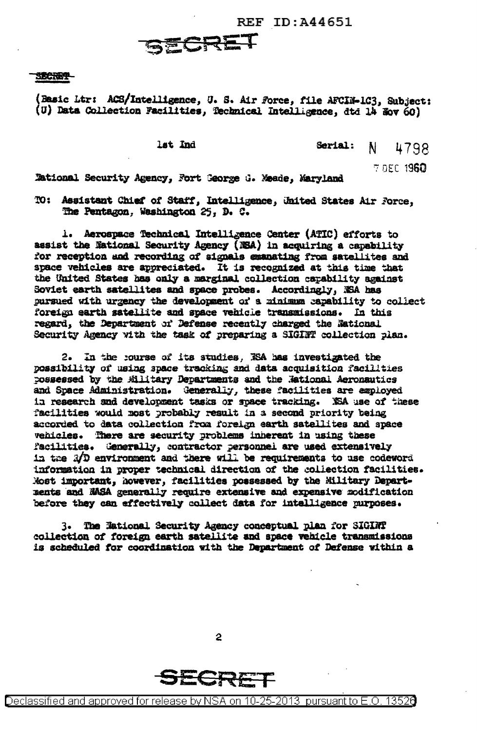**REF ID: A44651** 

## SECRET

## SECRET-

(Basic Ltr: ACS/Intelligence, U. S. Air Force, file AFCIN-1C3, Subject: (U) Data Collection Facilities, Technical Intelligence, dtd 14 Nov 60)

lst Ind

Serial: N 4798

7 DEC 1960

Tational Security Agency, Fort George G. Maade. Maryland

TO: Assistant Chief of Staff, Intelligence, United States Air Force, The Pentagon, Washington 25, D. C.

1. Aerospace Technical Intelligence Center (ATIC) efforts to assist the National Security Agency (NSA) in acquiring a capability for reception and recording of signals examating from satellites and space vehicles are appreciated. It is recognized at this time that the United States has only a marginal collection capability against Soviet earth satellites and space probes. Accordingly, NSA has pursued with urgency the development of a minimum capability to collect foreign earth satellite and space vehicle transmissions. In this regard, the Department of Defense recently charged the National Security Agency with the task of preparing a SIGINT collection plan.

2. In the course of its studies, KSA has investigated the possibility of using space tracking and data acquisition facilities possessed by the Military Departments and the Mational Aeronautics and Space Administration. Generally, these facilities are amployed in research and development tasks or space tracking. NSA use of these facilities would most probably result in a second priority being accorded to data collection from foreign earth satellites and space vehicles. There are security problems inherent in using these facilities. Generally, contractor personnel are used extensively in the 3/D environment and there will be requirements to use codeword information in proper technical direction of the collection facilities. Most important, however, facilities possessed by the Military Departments and NASA generally require extensive and expensive modification before they can effectively collect data for intelligence purposes.

The National Security Agency conceptual plan for SIGINT 3. collection of foreign earth satellite and space vehicle transmissions is scheduled for coordination with the Department of Defense within a